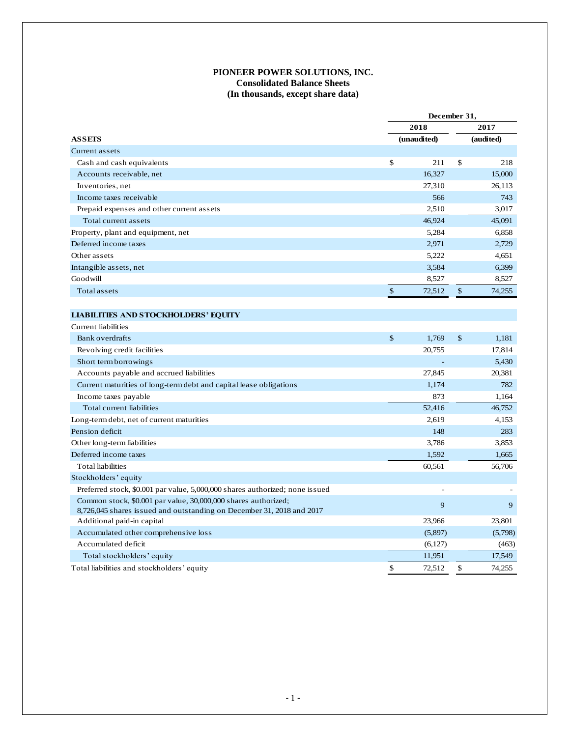## **PIONEER POWER SOLUTIONS, INC. Consolidated Balance Sheets (In thousands, except share data)**

|                                                                              | December 31,  |             |               |           |  |
|------------------------------------------------------------------------------|---------------|-------------|---------------|-----------|--|
|                                                                              |               | 2018        | 2017          |           |  |
| <b>ASSEIS</b>                                                                |               | (unaudited) |               | (audited) |  |
| Current assets                                                               |               |             |               |           |  |
| Cash and cash equivalents                                                    | \$            | 211         | \$            | 218       |  |
| Accounts receivable, net                                                     |               | 16,327      |               | 15,000    |  |
| Inventories, net                                                             |               | 27,310      |               | 26,113    |  |
| Income taxes receivable                                                      |               | 566         |               | 743       |  |
| Prepaid expenses and other current assets                                    |               | 2,510       |               | 3,017     |  |
| Total current assets                                                         |               | 46,924      |               | 45,091    |  |
| Property, plant and equipment, net                                           |               | 5,284       |               | 6,858     |  |
| Deferred income taxes                                                        |               | 2,971       |               | 2,729     |  |
| Other assets                                                                 |               | 5,222       |               | 4,651     |  |
| Intangible assets, net                                                       |               | 3,584       |               | 6,399     |  |
| Goodwill                                                                     |               | 8,527       |               | 8,527     |  |
| Total assets                                                                 | \$            | 72,512      | $\frac{1}{2}$ | 74,255    |  |
|                                                                              |               |             |               |           |  |
| <b>LIABILITIES AND STOCKHOLDERS' EQUITY</b>                                  |               |             |               |           |  |
| Current liabilities                                                          |               |             |               |           |  |
| <b>Bank</b> overdrafts                                                       | $\mathcal{S}$ | 1,769       | \$            | 1,181     |  |
| Revolving credit facilities                                                  |               | 20.755      |               | 17,814    |  |
| Short term borrowings                                                        |               |             |               | 5,430     |  |
| Accounts payable and accrued liabilities                                     |               | 27,845      |               | 20,381    |  |
| Current maturities of long-term debt and capital lease obligations           |               | 1,174       |               | 782       |  |
| Income taxes payable                                                         |               | 873         |               | 1,164     |  |
| Total current liabilities                                                    |               | 52,416      |               | 46,752    |  |
| Long-term debt, net of current maturities                                    |               | 2,619       |               | 4,153     |  |
| Pension deficit                                                              |               | 148         |               | 283       |  |
| Other long-term liabilities                                                  |               | 3,786       |               | 3,853     |  |
| Deferred income taxes                                                        |               | 1,592       |               | 1,665     |  |
| <b>Total liabilities</b>                                                     |               | 60,561      |               | 56,706    |  |
| Stockholders' equity                                                         |               |             |               |           |  |
| Preferred stock, \$0.001 par value, 5,000,000 shares authorized; none issued |               |             |               |           |  |
| Common stock, \$0.001 par value, 30,000,000 shares authorized;               |               | 9           |               | 9         |  |
| 8,726,045 shares issued and outstanding on December 31, 2018 and 2017        |               |             |               |           |  |
| Additional paid-in capital                                                   |               | 23,966      |               | 23,801    |  |
| Accumulated other comprehensive loss                                         |               | (5,897)     |               | (5,798)   |  |
| Accumulated deficit                                                          |               | (6,127)     |               | (463)     |  |
| Total stockholders' equity                                                   |               | 11,951      |               | 17,549    |  |
| Total liabilities and stockholders' equity                                   | \$            | 72,512      | \$            | 74,255    |  |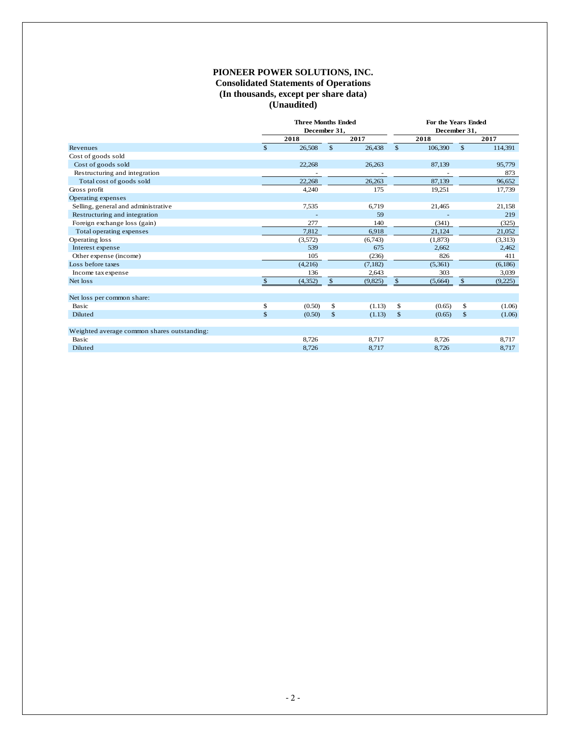#### **PIONEER POWER SOLUTIONS, INC. Consolidated Statements of Operations (In thousands, except per share data) (Unaudited)**

|                                             | <b>Three Months Ended</b><br>December 31, |          |              |         | For the Years Ended<br>December 31, |          |              |         |  |  |
|---------------------------------------------|-------------------------------------------|----------|--------------|---------|-------------------------------------|----------|--------------|---------|--|--|
|                                             | 2018                                      |          | 2017         |         | 2018                                |          |              | 2017    |  |  |
| Revenues                                    | $\mathcal{S}$                             | 26,508   | $\mathbb{S}$ | 26,438  | $\mathbb{S}$                        | 106,390  | $\mathbb{S}$ | 114,391 |  |  |
| Cost of goods sold                          |                                           |          |              |         |                                     |          |              |         |  |  |
| Cost of goods sold                          |                                           | 22,268   |              | 26,263  |                                     | 87,139   |              | 95,779  |  |  |
| Restructuring and integration               |                                           |          |              |         |                                     |          |              | 873     |  |  |
| Total cost of goods sold                    |                                           | 22.268   |              | 26,263  |                                     | 87,139   |              | 96,652  |  |  |
| Gross profit                                |                                           | 4,240    |              | 175     |                                     | 19,251   |              | 17,739  |  |  |
| Operating expenses                          |                                           |          |              |         |                                     |          |              |         |  |  |
| Selling, general and administrative         |                                           | 7,535    |              | 6,719   |                                     | 21,465   |              | 21,158  |  |  |
| Restructuring and integration               |                                           |          |              | 59      |                                     |          |              | 219     |  |  |
| Foreign exchange loss (gain)                |                                           | 277      |              | 140     |                                     | (341)    |              | (325)   |  |  |
| Total operating expenses                    |                                           | 7.812    |              | 6,918   |                                     | 21,124   |              | 21,052  |  |  |
| Operating loss                              |                                           | (3,572)  |              | (6,743) |                                     | (1, 873) |              | (3,313) |  |  |
| Interest expense                            |                                           | 539      |              | 675     |                                     | 2,662    |              | 2,462   |  |  |
| Other expense (income)                      |                                           | 105      |              | (236)   |                                     | 826      |              | 411     |  |  |
| Loss before taxes                           |                                           | (4,216)  |              | (7,182) |                                     | (5,361)  |              | (6,186) |  |  |
| Income tax expense                          |                                           | 136      |              | 2,643   |                                     | 303      |              | 3,039   |  |  |
| Net loss                                    | $\mathbf{s}$                              | (4, 352) | \$           | (9,825) | $\mathfrak{S}$                      | (5,664)  | \$           | (9,225) |  |  |
| Net loss per common share:                  |                                           |          |              |         |                                     |          |              |         |  |  |
| Basic                                       | \$                                        | (0.50)   | \$           | (1.13)  | \$                                  | (0.65)   | \$           | (1.06)  |  |  |
| Diluted                                     | \$                                        | (0.50)   | $\mathbb{S}$ | (1.13)  | $\mathbf{s}$                        | (0.65)   | \$           | (1.06)  |  |  |
| Weighted average common shares outstanding: |                                           |          |              |         |                                     |          |              |         |  |  |
| Basic                                       |                                           | 8,726    |              | 8,717   |                                     | 8,726    |              | 8,717   |  |  |
| Diluted                                     |                                           | 8,726    |              | 8,717   |                                     | 8,726    |              | 8,717   |  |  |
|                                             |                                           |          |              |         |                                     |          |              |         |  |  |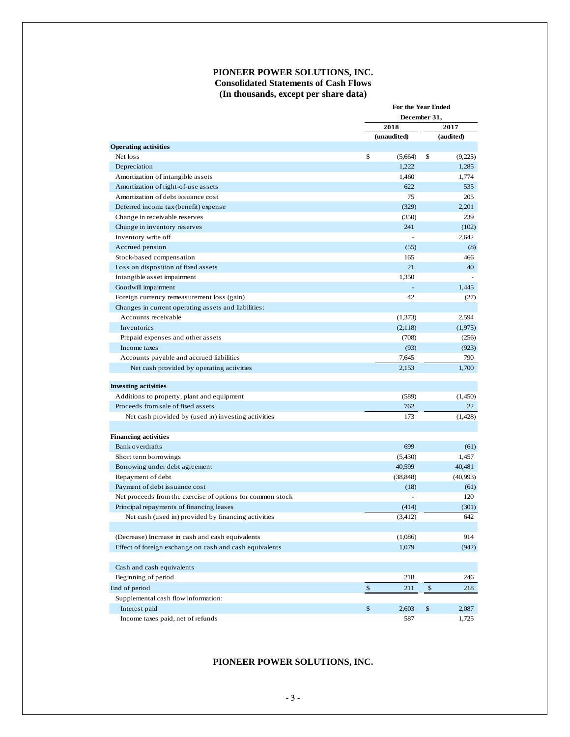### **PIONEER POWER SOLUTIONS, INC. Consolidated Statements of Cash Flows (In thousands, except per share data)**

|                                                            |                | For the Year Ended<br>December 31, |                    |           |  |  |
|------------------------------------------------------------|----------------|------------------------------------|--------------------|-----------|--|--|
|                                                            |                |                                    |                    |           |  |  |
|                                                            |                | 2018                               |                    | 2017      |  |  |
|                                                            |                | (unaudited)                        |                    | (audited) |  |  |
| <b>Operating activities</b>                                |                |                                    |                    |           |  |  |
| Net loss                                                   | \$             | (5,664)                            | \$                 | (9,225)   |  |  |
| Depreciation                                               |                | 1,222                              |                    | 1.285     |  |  |
| Amortization of intangible assets                          |                | 1,460                              |                    | 1,774     |  |  |
| Amortization of right-of-use assets                        |                | 622                                |                    | 535       |  |  |
| Amortization of debt issuance cost                         |                | 75                                 |                    | 205       |  |  |
| Deferred income tax (benefit) expense                      |                | (329)                              |                    | 2,201     |  |  |
| Change in receivable reserves                              |                | (350)                              |                    | 239       |  |  |
| Change in inventory reserves                               |                | 241                                |                    | (102)     |  |  |
| Inventory write off                                        |                |                                    |                    | 2,642     |  |  |
| Accrued pension                                            |                | (55)                               |                    | (8)       |  |  |
| Stock-based compensation                                   |                | 165                                |                    | 466       |  |  |
| Loss on disposition of fixed assets                        |                | 21                                 |                    | 40        |  |  |
| Intangible asset impairment                                |                | 1,350                              |                    |           |  |  |
| Goodwill impairment                                        |                |                                    |                    | 1,445     |  |  |
| Foreign currency remeasurement loss (gain)                 |                | 42                                 |                    | (27)      |  |  |
| Changes in current operating assets and liabilities:       |                |                                    |                    |           |  |  |
| Accounts receivable                                        |                | (1,373)                            |                    | 2,594     |  |  |
| Inventories                                                |                | (2,118)                            |                    | (1,975)   |  |  |
| Prepaid expenses and other assets                          |                | (708)                              |                    | (256)     |  |  |
| Income taxes                                               |                | (93)                               |                    | (923)     |  |  |
| Accounts payable and accrued liabilities                   |                | 7,645                              |                    | 790       |  |  |
| Net cash provided by operating activities                  |                | 2,153                              |                    | 1,700     |  |  |
| <b>Investing activities</b>                                |                |                                    |                    |           |  |  |
| Additions to property, plant and equipment                 |                | (589)                              |                    | (1,450)   |  |  |
| Proceeds from sale of fixed assets                         |                | 762                                |                    | 22        |  |  |
| Net cash provided by (used in) investing activities        |                | 173                                |                    | (1,428)   |  |  |
|                                                            |                |                                    |                    |           |  |  |
| <b>Financing activities</b>                                |                |                                    |                    |           |  |  |
| Bank overdrafts                                            |                | 699                                |                    | (61)      |  |  |
| Short term borrowings                                      |                | (5,430)                            |                    | 1,457     |  |  |
| Borrowing under debt agreement                             |                | 40,599                             |                    | 40,481    |  |  |
| Repayment of debt                                          |                | (38, 848)                          |                    | (40,993)  |  |  |
| Payment of debt is suance cost                             |                | (18)                               |                    | (61)      |  |  |
| Net proceeds from the exercise of options for common stock |                |                                    |                    | 120       |  |  |
| Principal repayments of financing leases                   |                | (414)                              |                    | (301)     |  |  |
| Net cash (used in) provided by financing activities        |                | (3, 412)                           |                    | 642       |  |  |
|                                                            |                |                                    |                    |           |  |  |
| (Decrease) Increase in cash and cash equivalents           |                | (1,086)                            |                    | 914       |  |  |
| Effect of foreign exchange on cash and cash equivalents    |                | 1,079                              |                    | (942)     |  |  |
|                                                            |                |                                    |                    |           |  |  |
| Cash and cash equivalents                                  |                |                                    |                    |           |  |  |
| Beginning of period                                        |                | 218                                |                    | 246       |  |  |
| End of period                                              | $$\mathbb{S}$$ | 211                                | $\pmb{\mathbb{S}}$ | 218       |  |  |
| Supplemental cash flow information:                        |                |                                    |                    |           |  |  |
| Interest paid                                              | \$             | 2,603                              | \$                 | 2,087     |  |  |
| Income taxes paid, net of refunds                          |                | 587                                |                    | 1,725     |  |  |

# **PIONEER POWER SOLUTIONS, INC.**